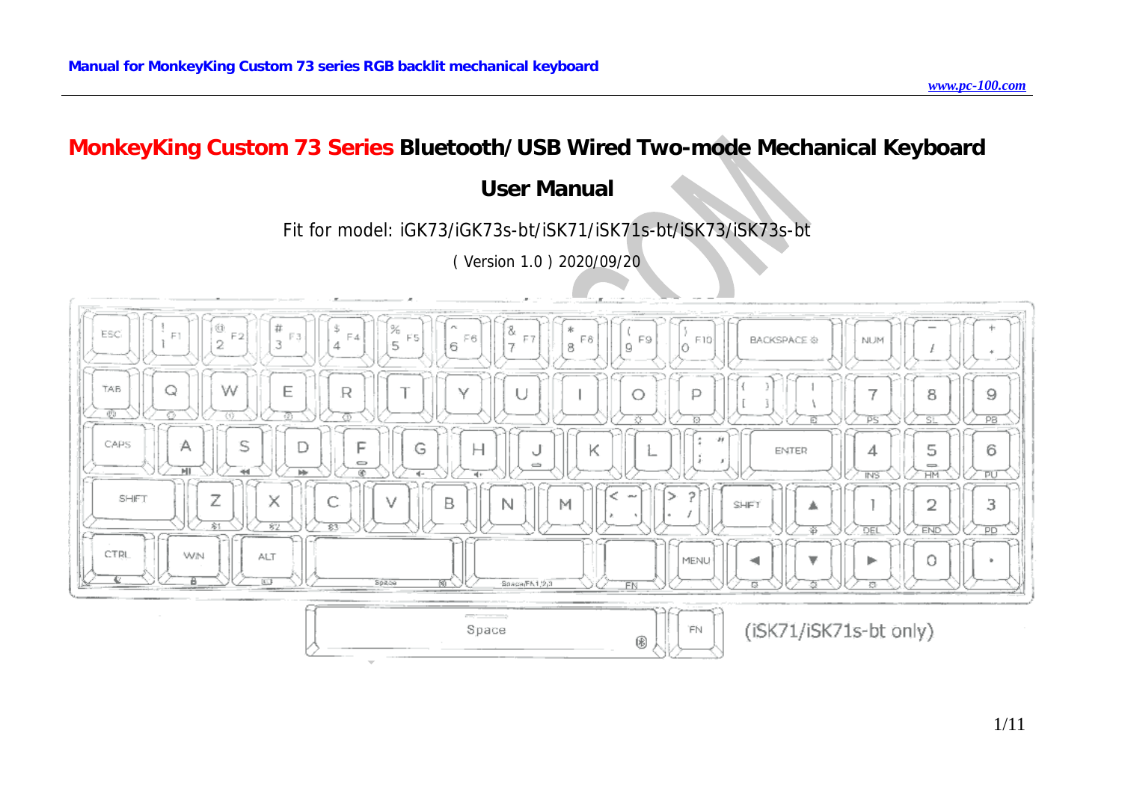# **MonkeyKing Custom 73 Series Bluetooth/USB Wired Two-mode Mechanical Keyboard**

# **User Manual**

# Fit for model: iGK73/iGK73s-bt/iSK71/iSK71s-bt/iSK73/iSK73s-bt

( Version 1.0 ) 2020/09/20

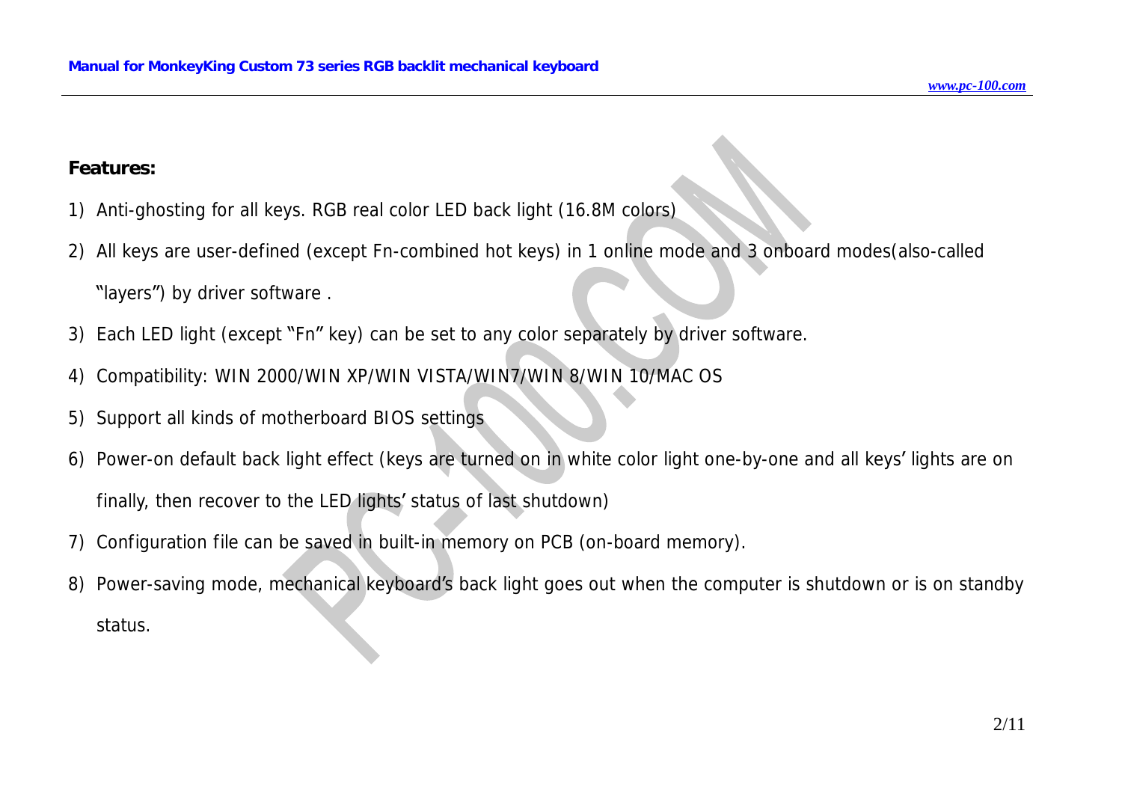#### **Features:**

- 1) Anti-ghosting for all keys. RGB real color LED back light (16.8M colors)
- *2)* All keys are user-defined (except Fn-combined hot keys) in 1 online mode and 3 onboard modes(also-called
	- "layers") by driver software .
- 3) Each LED light (except "Fn" key) can be set to any color separately by driver software.
- 4) Compatibility: WIN 2000/WIN XP/WIN VISTA/WIN7/WIN 8/WIN 10/MAC OS
- 5) Support all kinds of motherboard BIOS settings
- 6) Power-on default back light effect (keys are turned on in white color light one-by-one and all keys' lights are on finally, then recover to the LED lights' status of last shutdown)
- 7) Configuration file can be saved in built-in memory on PCB (on-board memory).
- 8) Power-saving mode, mechanical keyboard's back light goes out when the computer is shutdown or is on standby status.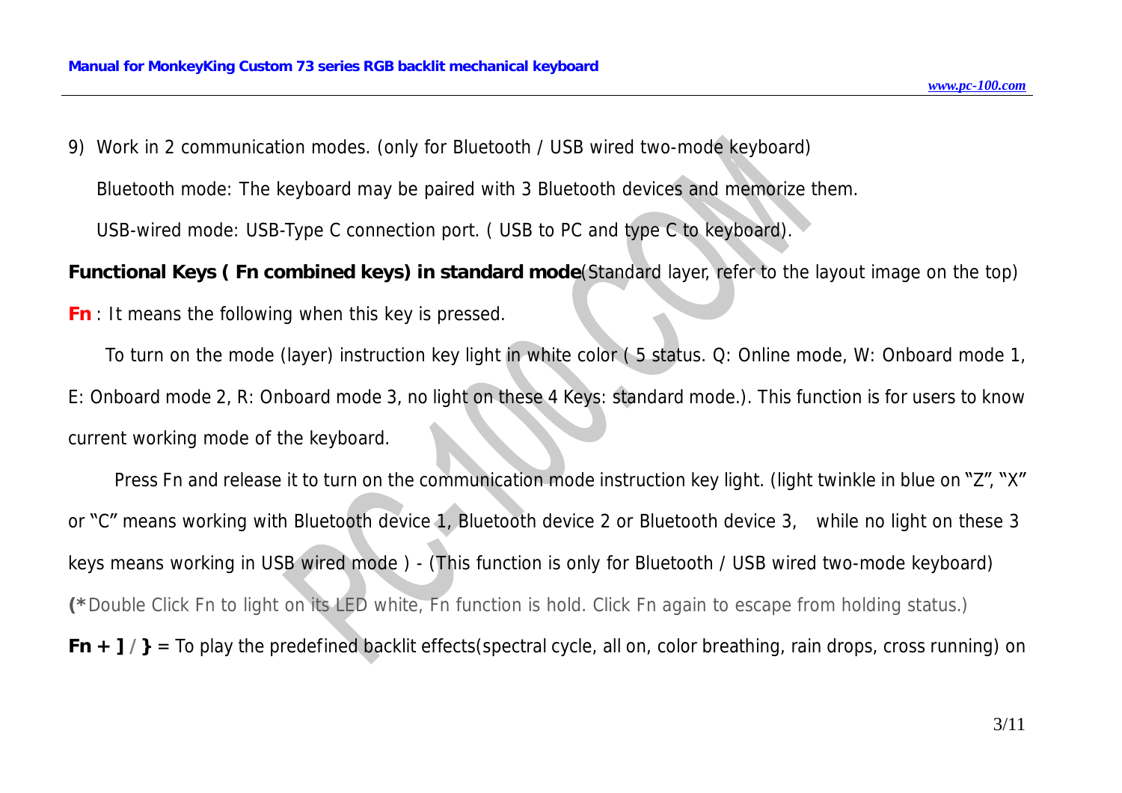9) Work in 2 communication modes. (only for Bluetooth / USB wired two-mode keyboard)

Bluetooth mode: The keyboard may be paired with 3 Bluetooth devices and memorize them.

USB-wired mode: USB-Type C connection port. ( USB to PC and type C to keyboard).

Functional Keys (Fn combined keys) in standard mode (Standard layer, refer to the layout image on the top)

*Fn* : It means the following when this key is pressed.

To turn on the mode (layer) instruction key light in white color ( 5 status. Q: Online mode, W: Onboard mode 1, E: Onboard mode 2, R: Onboard mode 3, no light on these 4 Keys: standard mode.). This function is for users to know current working mode of the keyboard.

 Press Fn and release it to turn on the communication mode instruction key light. (light twinkle in blue on "Z", "X" or "C" means working with Bluetooth device 1, Bluetooth device 2 or Bluetooth device 3, while no light on these 3 keys means working in USB wired mode ) - (This function is only for Bluetooth / USB wired two-mode keyboard) (\*Double Click Fn to light on its LED white, Fn function is hold. Click Fn again to escape from holding status.) *Fn*  $+$   $7/$ } = To play the predefined backlit effects(spectral cycle, all on, color breathing, rain drops, cross running) on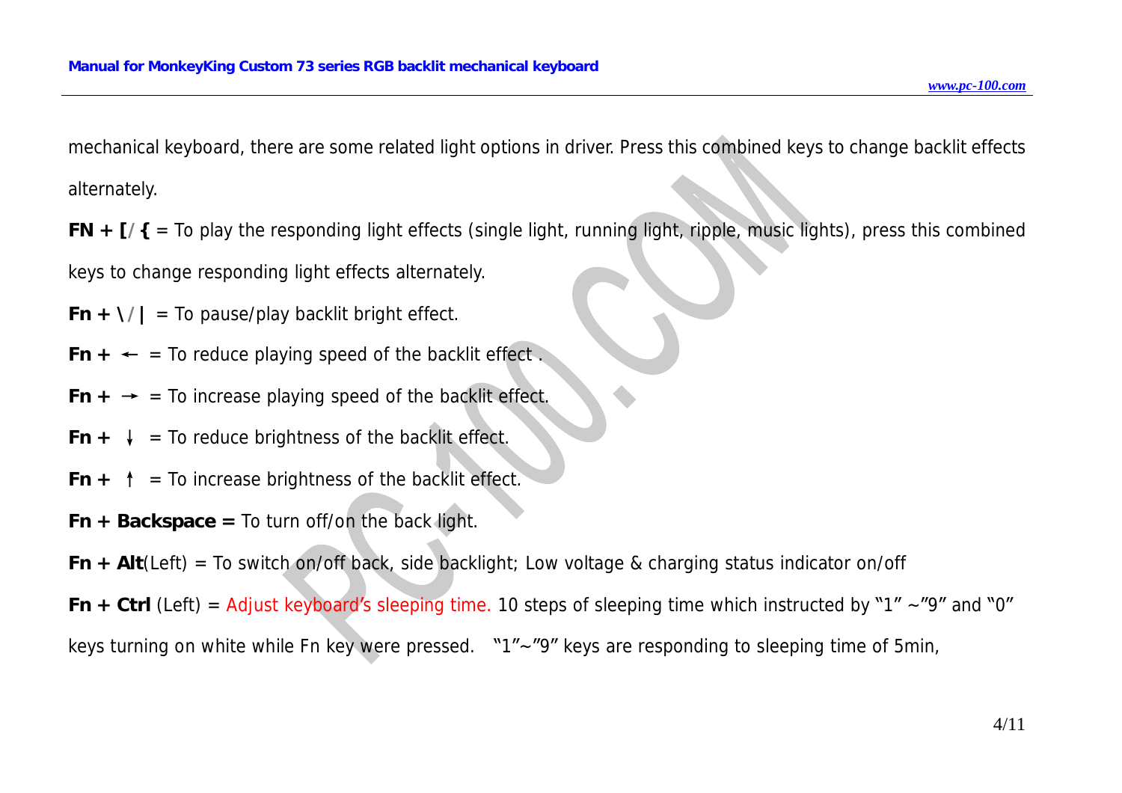mechanical keyboard, there are some related light options in driver. Press this combined keys to change backlit effects alternately.

*FN + [/{* = To play the responding light effects (single light, running light, ripple, music lights), press this combined keys to change responding light effects alternately.

*Fn* +  $\frac{1}{4}$  = To pause/play backlit bright effect.

 $Fn + \leftarrow$  = To reduce playing speed of the backlit effect.

- *Fn*  $\div$   $\div$  = To increase playing speed of the backlit effect.
- $Fn + \downarrow$  = To reduce brightness of the backlit effect.
- *Fn*  $+$   $\uparrow$  = To increase brightness of the backlit effect.
- *Fn + Backspace =* To turn off/on the back light.

*Fn + Alt*(Left) = To switch on/off back, side backlight; Low voltage & charging status indicator on/off

*Fn*  $+$  *Ctrl* (Left) = Adjust keyboard's sleeping time. 10 steps of sleeping time which instructed by "1" ~"9" and "0" keys turning on white while Fn key were pressed. "1"~"9" keys are responding to sleeping time of 5min,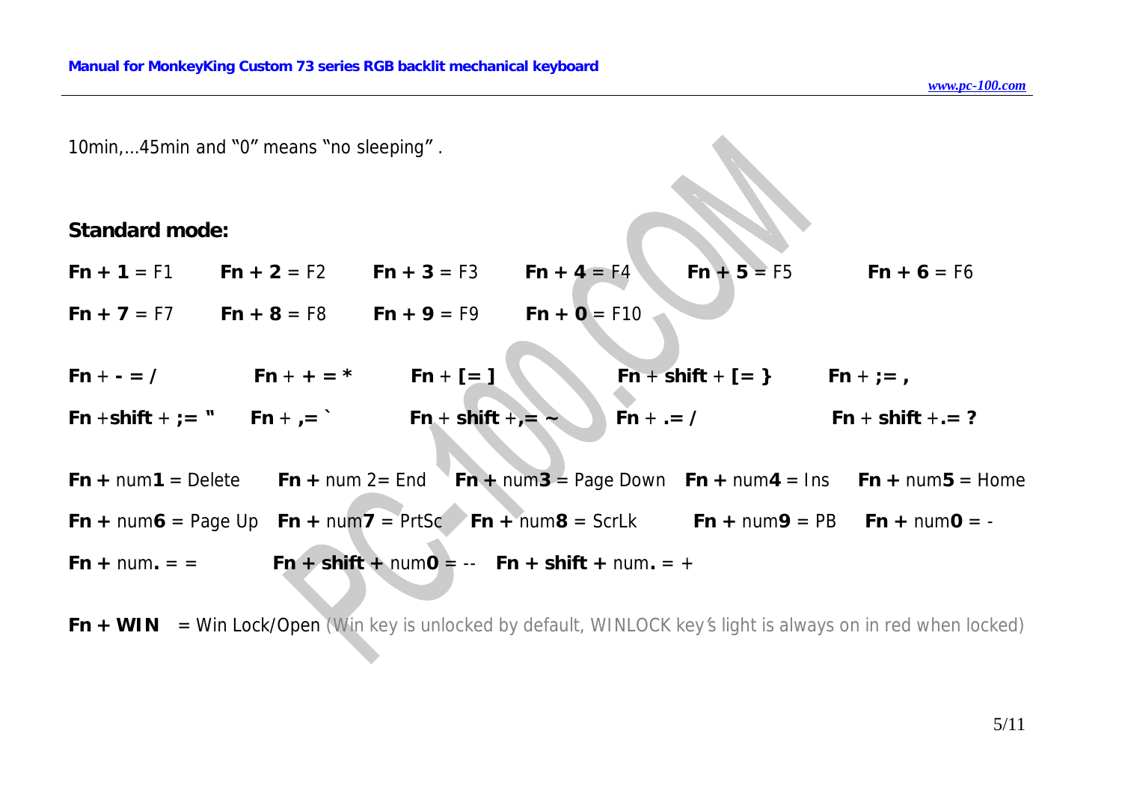10min,…45min and "0" means "no sleeping" .

**Standard mode:** 

*Fn + 1* = F1 *Fn + 2* = F2 *Fn + 3* = F3 *Fn + 4* = F4 *Fn + 5* = F5 *Fn + 6* = F6

*Fn + 7* = F7 *Fn + 8* = F8 *Fn + 9* = F9 *Fn + 0* = F10

- $Fn + = \angle$   $Fn + + = *$   $Fn + [-]$   $Fn + shift + [-]$   $Fn + = \angle$ *Fn* +**shift** + *;= " Fn* + *,= ` Fn* + **shift** +*,= ~ Fn* + *.= / Fn* + **shift** +*.= ?*
- *Fn* + num 1 = Delete *Fn* + num 2 = End *Fn* + num 3 = Page Down *Fn* + num 4 = Ins *Fn* + num 5 = Home  $Fn + num6 = Page Up$   $Fn + num7 = PrtSc$   $Fn + num8 = ScrLk$   $Fn + num9 = PB$   $Fn + num0 = Fn + num =$  =  $Fn + shift + numO = -Fn + shift + num = +$

 $Fn + WIN = Win Lock/Open (Win key is unlocked by default, WINLOCK key's light is always on in red when locked)$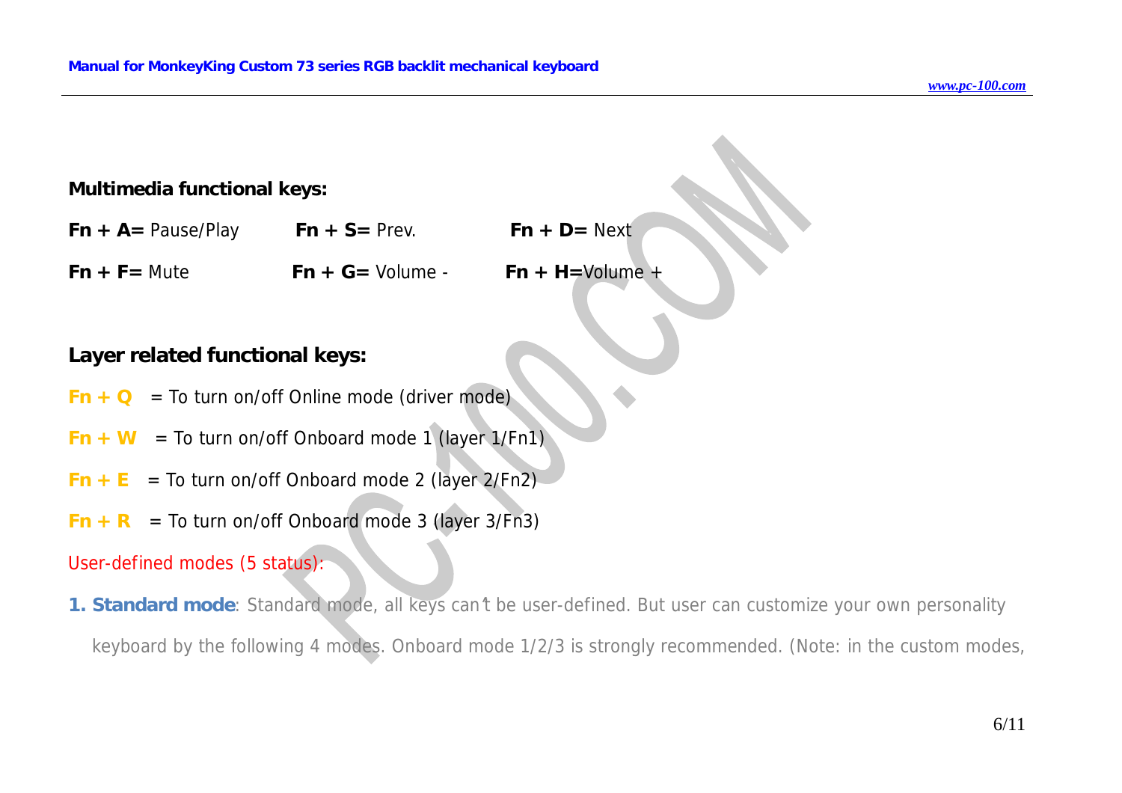#### **Multimedia functional keys:**

| $Fn + A = Pause/Play$ | $Fn + S = Prev$ .   | $Fn + D = Next$     |
|-----------------------|---------------------|---------------------|
| $Fn + F =$ Mute       | $Fn + G =$ Volume - | $Fn + H =$ Volume + |

## **Layer related functional keys:**

- $Fn + Q$  = To turn on/off Online mode (driver mode)
- $Fn + W$  = To turn on/off Onboard mode 1 (layer 1/Fn1)
- $Fn + E = To turn on/off Onboard mode 2 (layer 2/Fn2)$
- $Fn + R$  = To turn on/off Onboard mode 3 (layer 3/Fn3)

#### *User-defined modes (5 status):*

1. Standard mode: Standard mode, all keys can't be user-defined. But user can customize your own personality *keyboard by the following 4 modes. Onboard mode 1/2/3 is strongly recommended. (Note: in the custom modes,*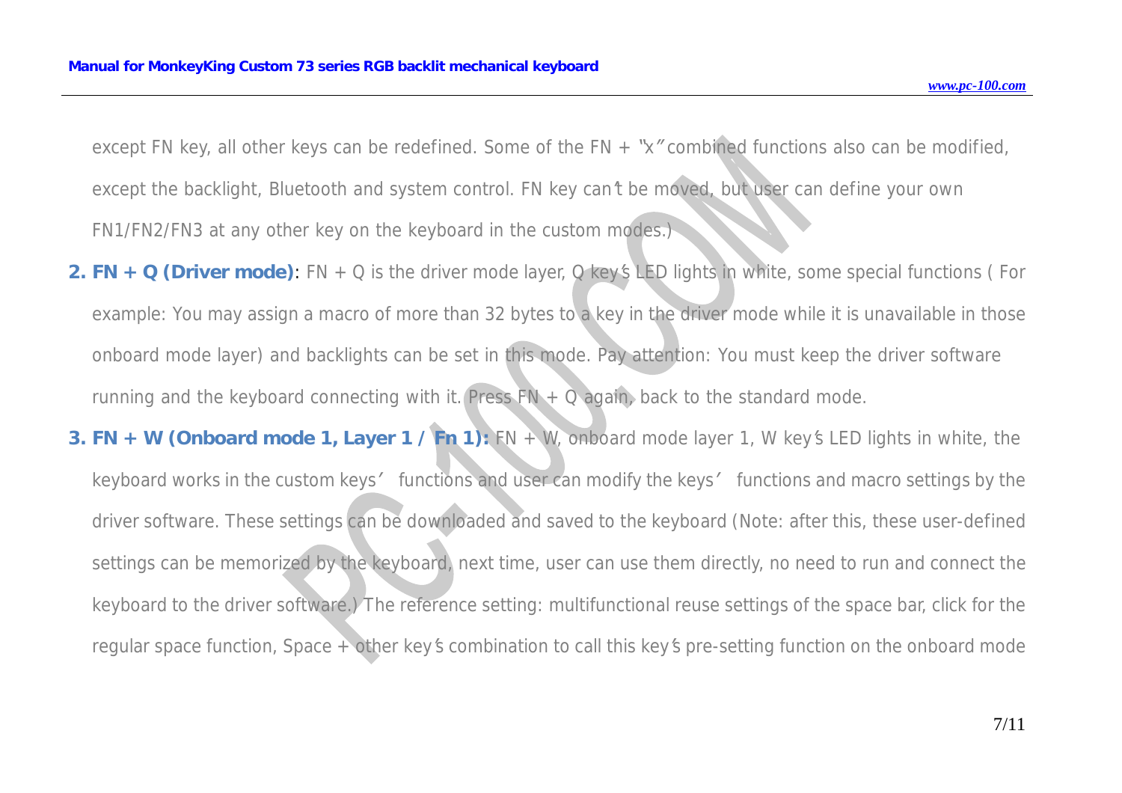except FN key, all other keys can be redefined. Some of the FN  $+$  "x" combined functions also can be modified, except the backlight, Bluetooth and system control. FN key can't be moved, but user can define your own *FN1/FN2/FN3 at any other key on the keyboard in the custom modes.)* 

- 2. FN + Q (Driver mode): FN + Q is the driver mode layer, Q key's LED lights in white, some special functions (For example: You may assign a macro of more than 32 bytes to a key in the driver mode while it is unavailable in those onboard mode layer) and backlights can be set in this mode. Pay attention: You must keep the driver software *running and the keyboard connecting with it. Press FN + Q again, back to the standard mode.*
- 3. FN + W (Onboard mode 1, Layer 1 / Fn 1): FN + W, onboard mode layer 1, W key's LED lights in white, the keyboard works in the custom keys' functions and user can modify the keys' functions and macro settings by the driver software. These settings can be downloaded and saved to the keyboard (Note: after this, these user-defined settings can be memorized by the keyboard, next time, user can use them directly, no need to run and connect the keyboard to the driver software.) The reference setting: multifunctional reuse settings of the space bar, click for the regular space function, Space + other key's combination to call this key's pre-setting function on the onboard mode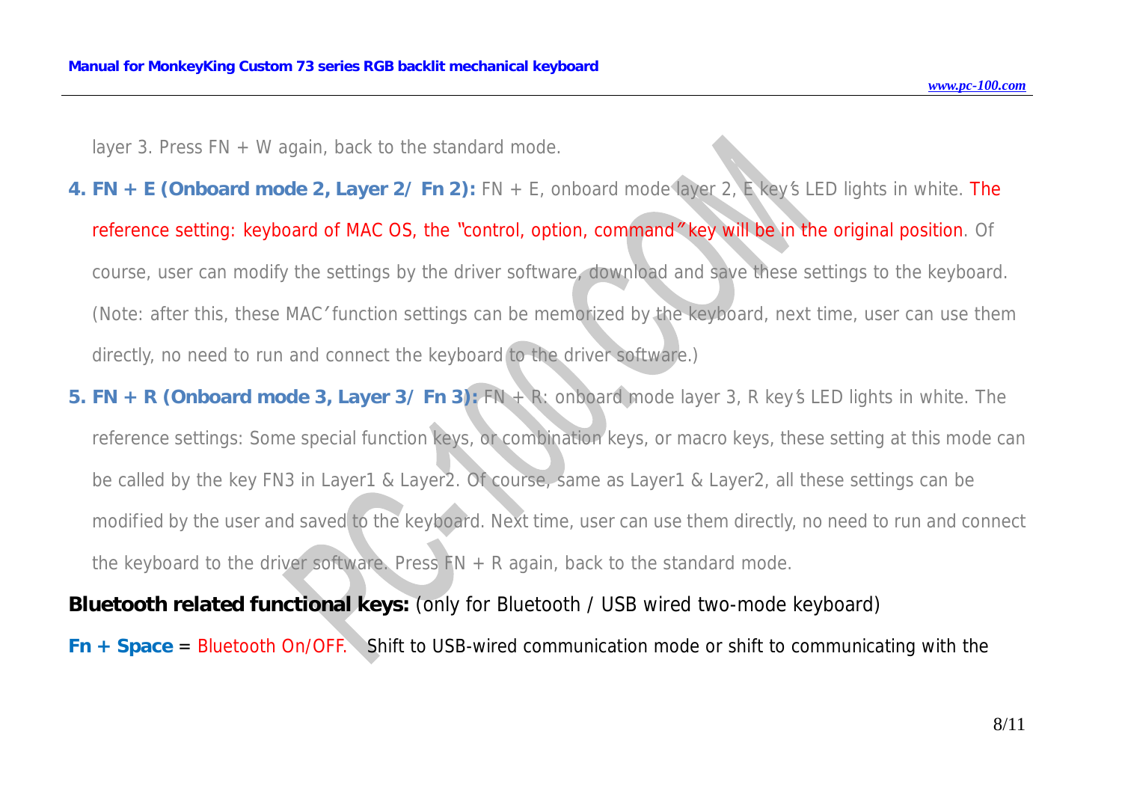*layer 3. Press FN + W again, back to the standard mode.* 

- 4. FN + E (Onboard mode 2, Layer 2/ Fn 2): FN + E, onboard mode layer 2, E key's LED lights in white. The reference setting: keyboard of MAC OS, the "control, option, command" key will be in the original position. Of course, user can modify the settings by the driver software, download and save these settings to the keyboard. (Note: after this, these MAC' function settings can be memorized by the keyboard, next time, user can use them *directly, no need to run and connect the keyboard to the driver software.)*
- 5. FN + R (Onboard mode 3, Layer 3/Fn 3):  $FN + R$ : onboard mode layer 3, R key's LED lights in white. The reference settings: Some special function keys, or combination keys, or macro keys, these setting at this mode can be called by the key FN3 in Layer1 & Layer2. Of course, same as Layer1 & Layer2, all these settings can be modified by the user and saved to the keyboard. Next time, user can use them directly, no need to run and connect *the keyboard to the driver software. Press FN + R again, back to the standard mode.*

### **Bluetooth related functional keys:** (only for Bluetooth / USB wired two-mode keyboard)

*Fn + Space* = Bluetooth On/OFF. Shift to USB-wired communication mode or shift to communicating with the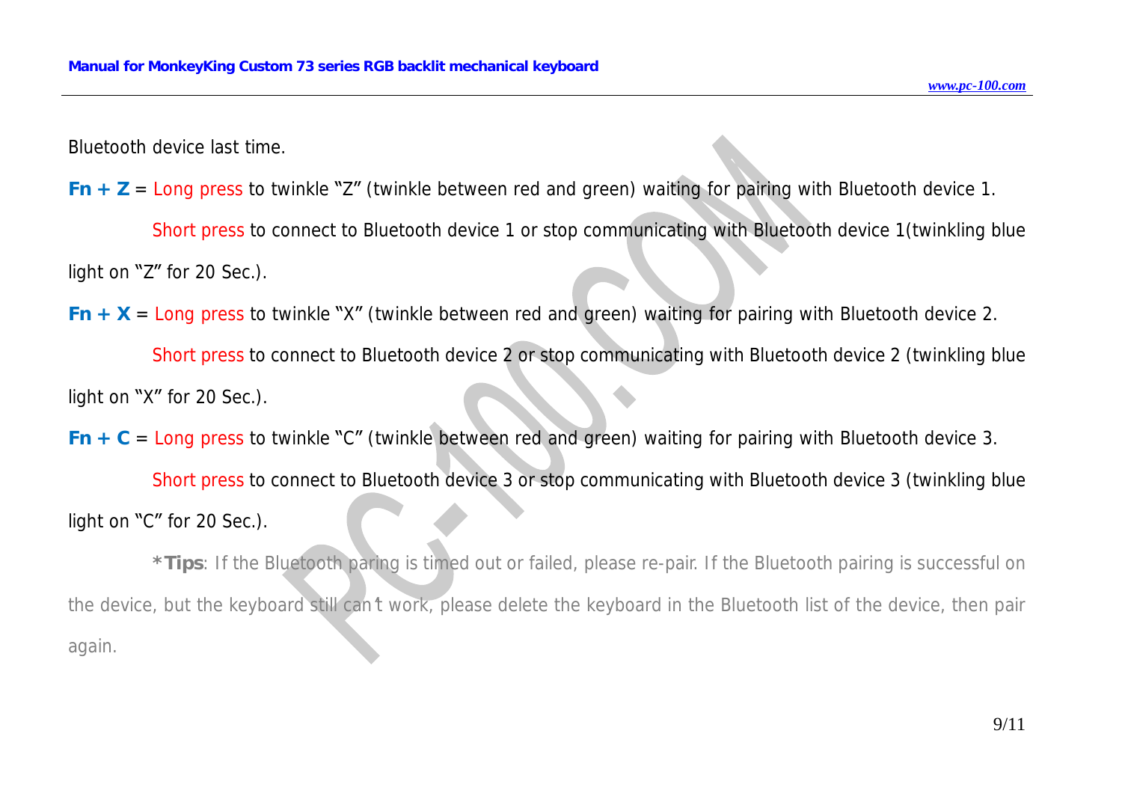Bluetooth device last time.

*Fn + Z* = Long press to twinkle "Z" (twinkle between red and green) waiting for pairing with Bluetooth device 1.

Short press to connect to Bluetooth device 1 or stop communicating with Bluetooth device 1(twinkling blue light on "Z" for 20 Sec.).

*Fn*  $+$  *X* = Long press to twinkle "X" (twinkle between red and green) waiting for pairing with Bluetooth device 2.

Short press to connect to Bluetooth device 2 or stop communicating with Bluetooth device 2 (twinkling blue light on "X" for 20 Sec.).

*Fn + C* = Long press to twinkle "C" (twinkle between red and green) waiting for pairing with Bluetooth device 3.

Short press to connect to Bluetooth device 3 or stop communicating with Bluetooth device 3 (twinkling blue light on "C" for 20 Sec.).

\*Tips: If the Bluetooth paring is timed out or failed, please re-pair. If the Bluetooth pairing is successful on the device, but the keyboard still can't work, please delete the keyboard in the Bluetooth list of the device, then pair *again.*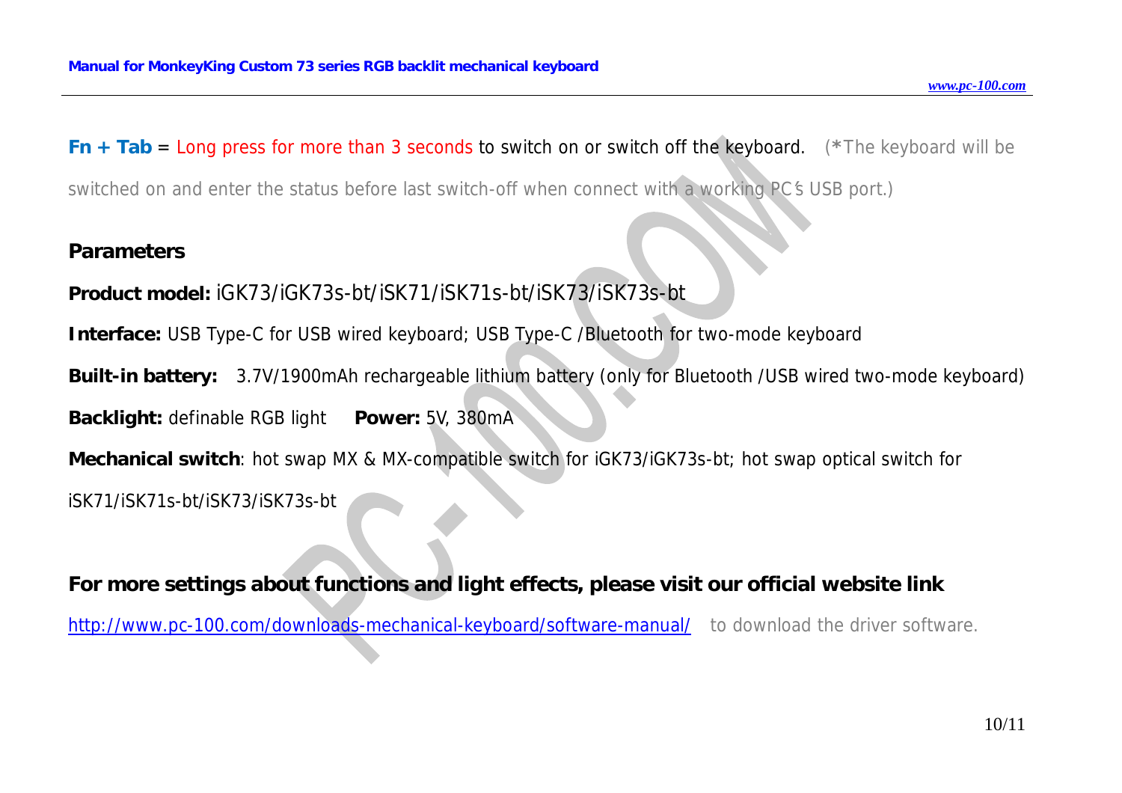*Fn + Tab* = Long press for more than 3 seconds to switch on or switch off the keyboard. *(\*The keyboard will be* 

switched on and enter the status before last switch-off when connect with a working PC's USB port.)

#### **Parameters**

**Product model:** iGK73/iGK73s-bt/iSK71/iSK71s-bt/iSK73/iSK73s-bt

**Interface:** USB Type-C for USB wired keyboard; USB Type-C /Bluetooth for two-mode keyboard

**Built-in battery:** 3.7V/1900mAh rechargeable lithium battery (only for Bluetooth /USB wired two-mode keyboard)

**Backlight:** definable RGB light **Power:** 5V, 380mA

**Mechanical switch**: hot swap MX & MX-compatible switch for iGK73/iGK73s-bt; hot swap optical switch for

iSK71/iSK71s-bt/iSK73/iSK73s-bt

**For more settings about functions and light effects, please visit our official website link**  <http://www.pc-100.com/downloads-mechanical-keyboard/software-manual/> to download the driver software.